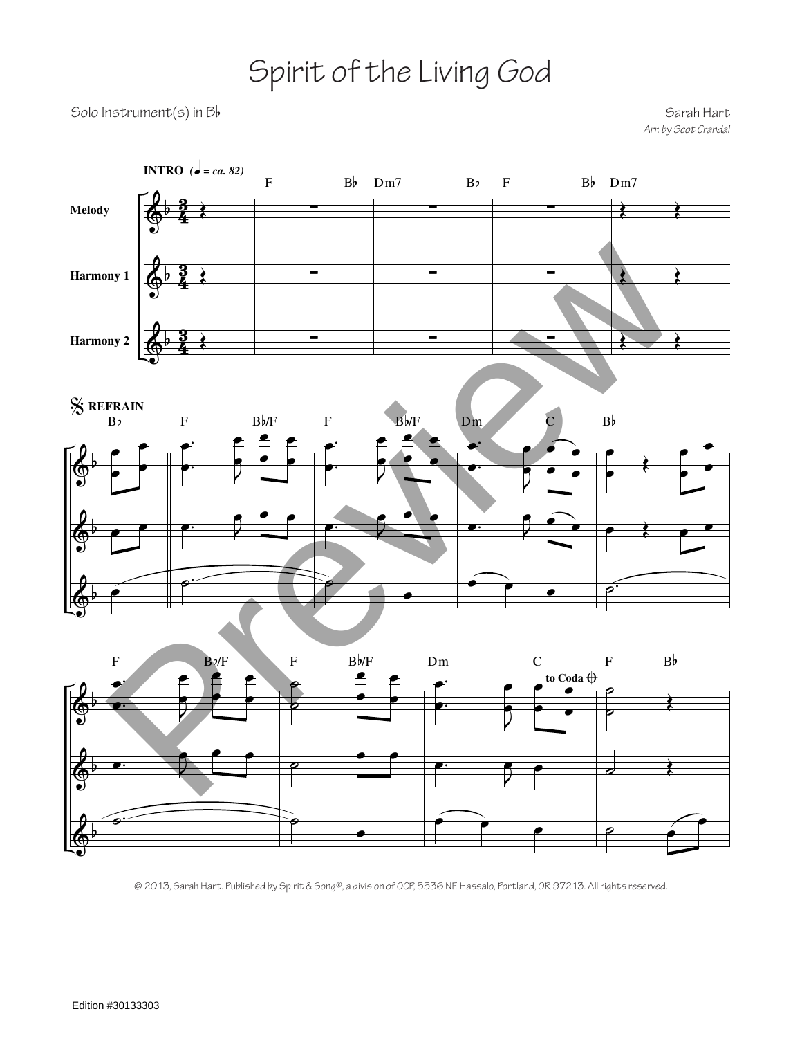## Spirit of the Living God

Solo Instrument(s) in Bb Sarah Hart

*Arr. by Scot Crandal* 



© 2013, Sarah Hart. Published by Spirit & Song®, a division of OCP, 5536 NE Hassalo, Portland, OR 97213. All rights reserved.